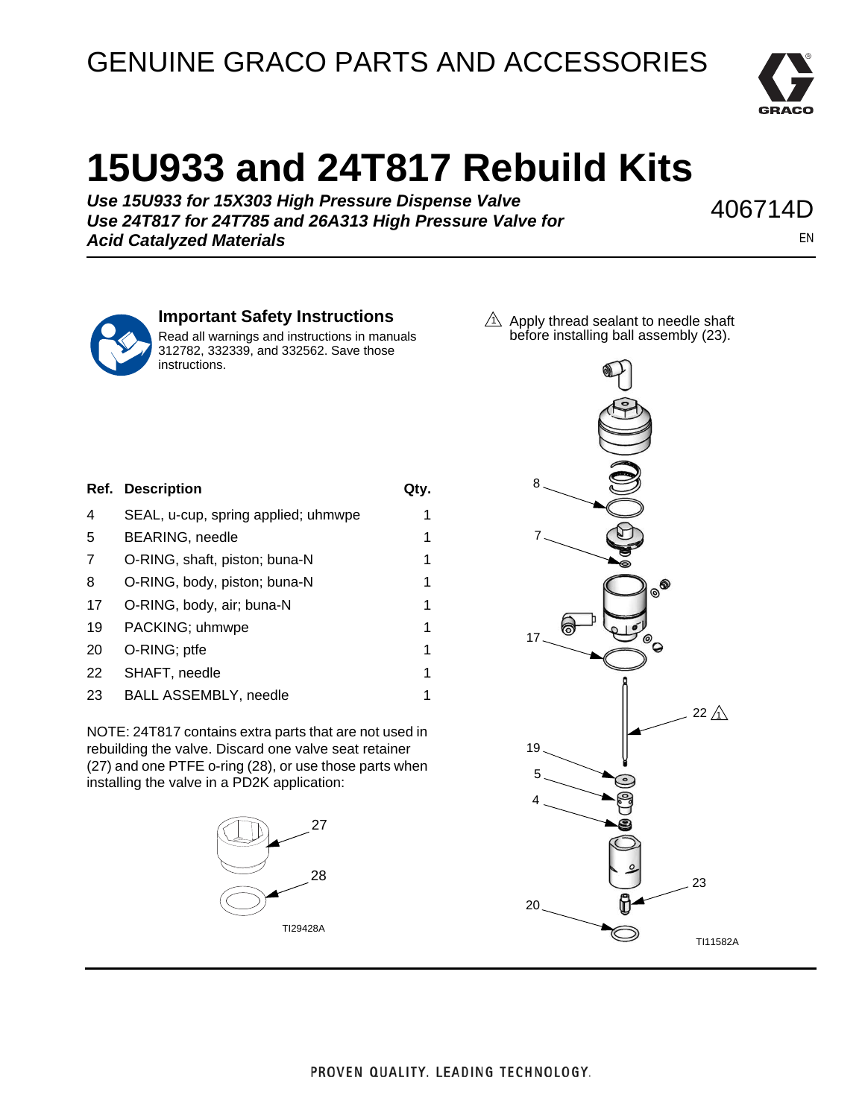## GENUINE GRACO PARTS AND ACCESSORIES



## **15U933 and 24T817 Rebuild Kits**

*Use 15U933 for 15X303 High Pressure Dispense Valve Use 24T817 for 24T785 and 26A313 High Pressure Valve for Acid Catalyzed Materials*

406714D

EN



## **Important Safety Instructions**

Read all warnings and instructions in manuals 312782, 332339, and 332562. Save those instructions.

Ref. Description **Qty.** 4 SEAL, u-cup, spring applied; uhmwpe 1 5 BEARING, needle 1 7 O-RING, shaft, piston; buna-N 1 8 O-RING, body, piston; buna-N 1 17 O-RING, body, air; buna-N 1 19 PACKING; uhmwpe 1 20 O-RING; ptfe 1 22 SHAFT, needle 1 23 BALL ASSEMBLY, needle 1

NOTE: 24T817 contains extra parts that are not used in rebuilding the valve. Discard one valve seat retainer (27) and one PTFE o-ring (28), or use those parts when installing the valve in a PD2K application: